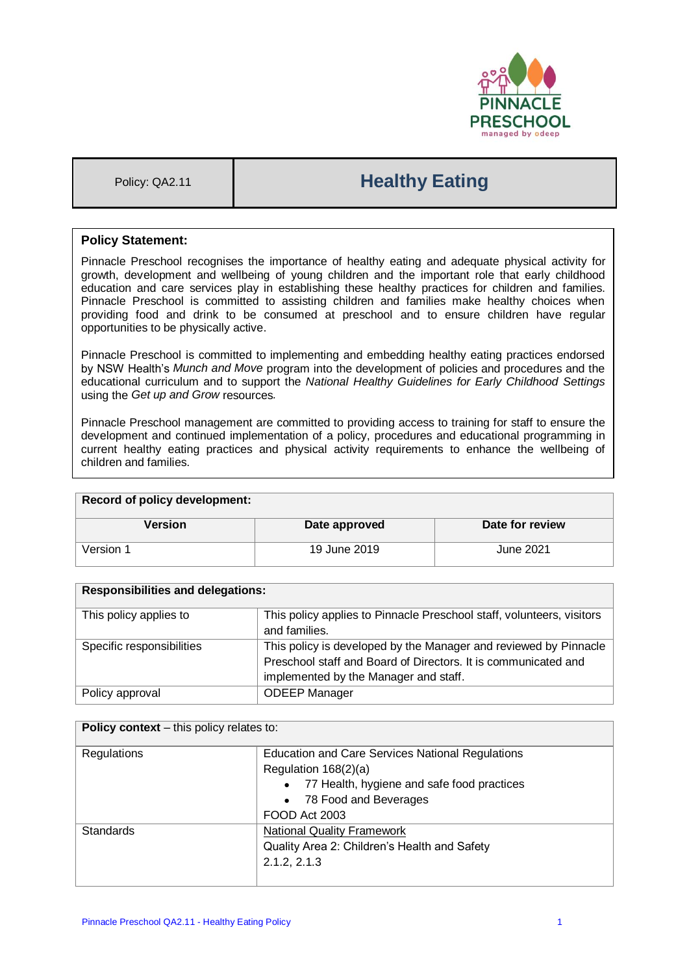

# Policy: QA2.11 **Healthy Eating**

## **Policy Statement:**

Pinnacle Preschool recognises the importance of healthy eating and adequate physical activity for growth, development and wellbeing of young children and the important role that early childhood education and care services play in establishing these healthy practices for children and families. Pinnacle Preschool is committed to assisting children and families make healthy choices when providing food and drink to be consumed at preschool and to ensure children have regular opportunities to be physically active.

Pinnacle Preschool is committed to implementing and embedding healthy eating practices endorsed by NSW Health's *Munch and Move* program into the development of policies and procedures and the educational curriculum and to support the *National Healthy Guidelines for Early Childhood Settings* using the *Get up and Grow* resources*.* 

Pinnacle Preschool management are committed to providing access to training for staff to ensure the development and continued implementation of a policy, procedures and educational programming in current healthy eating practices and physical activity requirements to enhance the wellbeing of children and families.

| <b>Record of policy development:</b> |               |                 |
|--------------------------------------|---------------|-----------------|
| Version                              | Date approved | Date for review |
| Version 1                            | 19 June 2019  | June 2021       |

| <b>Responsibilities and delegations:</b> |                                                                                                                                                                             |  |
|------------------------------------------|-----------------------------------------------------------------------------------------------------------------------------------------------------------------------------|--|
| This policy applies to                   | This policy applies to Pinnacle Preschool staff, volunteers, visitors<br>and families.                                                                                      |  |
| Specific responsibilities                | This policy is developed by the Manager and reviewed by Pinnacle<br>Preschool staff and Board of Directors. It is communicated and<br>implemented by the Manager and staff. |  |
| Policy approval                          | <b>ODEEP Manager</b>                                                                                                                                                        |  |

#### **Policy context** – this policy relates to:

| Regulations      | <b>Education and Care Services National Regulations</b> |  |
|------------------|---------------------------------------------------------|--|
|                  | Regulation 168(2)(a)                                    |  |
|                  | • 77 Health, hygiene and safe food practices            |  |
|                  | • 78 Food and Beverages                                 |  |
|                  | FOOD Act 2003                                           |  |
| <b>Standards</b> | <b>National Quality Framework</b>                       |  |
|                  | Quality Area 2: Children's Health and Safety            |  |
|                  | 2.1.2, 2.1.3                                            |  |
|                  |                                                         |  |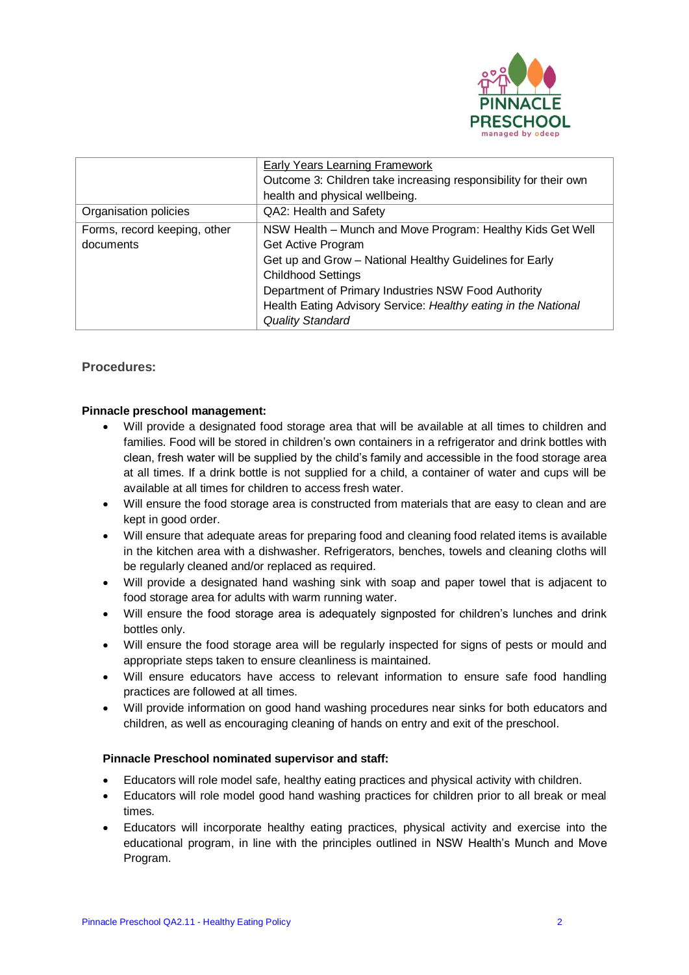

|                              | Early Years Learning Framework                                   |
|------------------------------|------------------------------------------------------------------|
|                              | Outcome 3: Children take increasing responsibility for their own |
|                              | health and physical wellbeing.                                   |
| Organisation policies        | QA2: Health and Safety                                           |
| Forms, record keeping, other | NSW Health - Munch and Move Program: Healthy Kids Get Well       |
| documents                    | Get Active Program                                               |
|                              | Get up and Grow - National Healthy Guidelines for Early          |
|                              | <b>Childhood Settings</b>                                        |
|                              | Department of Primary Industries NSW Food Authority              |
|                              | Health Eating Advisory Service: Healthy eating in the National   |
|                              | <b>Quality Standard</b>                                          |

## **Procedures:**

#### **Pinnacle preschool management:**

- Will provide a designated food storage area that will be available at all times to children and families. Food will be stored in children's own containers in a refrigerator and drink bottles with clean, fresh water will be supplied by the child's family and accessible in the food storage area at all times. If a drink bottle is not supplied for a child, a container of water and cups will be available at all times for children to access fresh water.
- Will ensure the food storage area is constructed from materials that are easy to clean and are kept in good order.
- Will ensure that adequate areas for preparing food and cleaning food related items is available in the kitchen area with a dishwasher. Refrigerators, benches, towels and cleaning cloths will be regularly cleaned and/or replaced as required.
- Will provide a designated hand washing sink with soap and paper towel that is adjacent to food storage area for adults with warm running water.
- Will ensure the food storage area is adequately signposted for children's lunches and drink bottles only.
- Will ensure the food storage area will be regularly inspected for signs of pests or mould and appropriate steps taken to ensure cleanliness is maintained.
- Will ensure educators have access to relevant information to ensure safe food handling practices are followed at all times.
- Will provide information on good hand washing procedures near sinks for both educators and children, as well as encouraging cleaning of hands on entry and exit of the preschool.

#### **Pinnacle Preschool nominated supervisor and staff:**

- Educators will role model safe, healthy eating practices and physical activity with children.
- Educators will role model good hand washing practices for children prior to all break or meal times.
- Educators will incorporate healthy eating practices, physical activity and exercise into the educational program, in line with the principles outlined in NSW Health's Munch and Move Program.